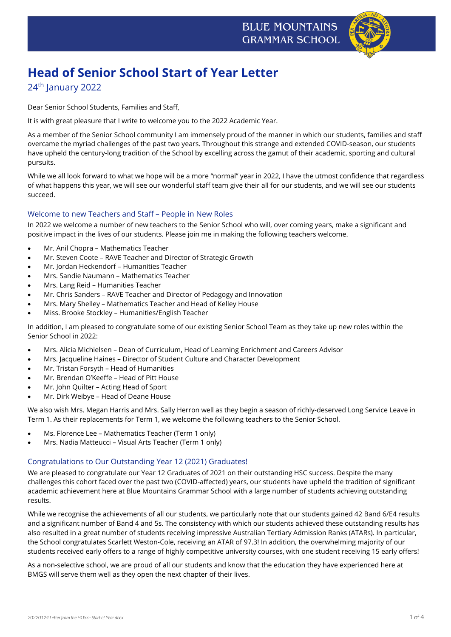

# **Head of Senior School Start of Year Letter**

# 24<sup>th</sup> January 2022

Dear Senior School Students, Families and Staff,

It is with great pleasure that I write to welcome you to the 2022 Academic Year.

As a member of the Senior School community I am immensely proud of the manner in which our students, families and staff overcame the myriad challenges of the past two years. Throughout this strange and extended COVID-season, our students have upheld the century-long tradition of the School by excelling across the gamut of their academic, sporting and cultural pursuits.

While we all look forward to what we hope will be a more "normal" year in 2022, I have the utmost confidence that regardless of what happens this year, we will see our wonderful staff team give their all for our students, and we will see our students succeed.

# Welcome to new Teachers and Staff – People in New Roles

In 2022 we welcome a number of new teachers to the Senior School who will, over coming years, make a significant and positive impact in the lives of our students. Please join me in making the following teachers welcome.

- Mr. Anil Chopra Mathematics Teacher
- Mr. Steven Coote RAVE Teacher and Director of Strategic Growth
- Mr. Jordan Heckendorf Humanities Teacher
- Mrs. Sandie Naumann Mathematics Teacher
- Mrs. Lang Reid Humanities Teacher
- Mr. Chris Sanders RAVE Teacher and Director of Pedagogy and Innovation
- Mrs. Mary Shelley Mathematics Teacher and Head of Kelley House
- Miss. Brooke Stockley Humanities/English Teacher

In addition, I am pleased to congratulate some of our existing Senior School Team as they take up new roles within the Senior School in 2022:

- Mrs. Alicia Michielsen Dean of Curriculum, Head of Learning Enrichment and Careers Advisor
- Mrs. Jacqueline Haines Director of Student Culture and Character Development
- Mr. Tristan Forsyth Head of Humanities
- Mr. Brendan O'Keeffe Head of Pitt House
- Mr. John Quilter Acting Head of Sport
- Mr. Dirk Weibye Head of Deane House

We also wish Mrs. Megan Harris and Mrs. Sally Herron well as they begin a season of richly-deserved Long Service Leave in Term 1. As their replacements for Term 1, we welcome the following teachers to the Senior School.

- Ms. Florence Lee Mathematics Teacher (Term 1 only)
- Mrs. Nadia Matteucci Visual Arts Teacher (Term 1 only)

#### Congratulations to Our Outstanding Year 12 (2021) Graduates!

We are pleased to congratulate our Year 12 Graduates of 2021 on their outstanding HSC success. Despite the many challenges this cohort faced over the past two (COVID-affected) years, our students have upheld the tradition of significant academic achievement here at Blue Mountains Grammar School with a large number of students achieving outstanding results.

While we recognise the achievements of all our students, we particularly note that our students gained 42 Band 6/E4 results and a significant number of Band 4 and 5s. The consistency with which our students achieved these outstanding results has also resulted in a great number of students receiving impressive Australian Tertiary Admission Ranks (ATARs). In particular, the School congratulates Scarlett Weston-Cole, receiving an ATAR of 97.3! In addition, the overwhelming majority of our students received early offers to a range of highly competitive university courses, with one student receiving 15 early offers!

As a non-selective school, we are proud of all our students and know that the education they have experienced here at BMGS will serve them well as they open the next chapter of their lives.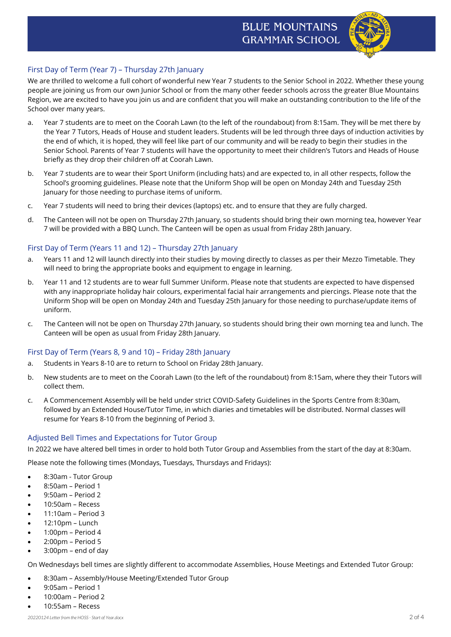# **BLUE MOUNTAINS GRAMMAR SCHOOL**



# First Day of Term (Year 7) – Thursday 27th January

We are thrilled to welcome a full cohort of wonderful new Year 7 students to the Senior School in 2022. Whether these young people are joining us from our own Junior School or from the many other feeder schools across the greater Blue Mountains Region, we are excited to have you join us and are confident that you will make an outstanding contribution to the life of the School over many years.

- a. Year 7 students are to meet on the Coorah Lawn (to the left of the roundabout) from 8:15am. They will be met there by the Year 7 Tutors, Heads of House and student leaders. Students will be led through three days of induction activities by the end of which, it is hoped, they will feel like part of our community and will be ready to begin their studies in the Senior School. Parents of Year 7 students will have the opportunity to meet their children's Tutors and Heads of House briefly as they drop their children off at Coorah Lawn.
- b. Year 7 students are to wear their Sport Uniform (including hats) and are expected to, in all other respects, follow the School's grooming guidelines. Please note that the Uniform Shop will be open on Monday 24th and Tuesday 25th January for those needing to purchase items of uniform.
- c. Year 7 students will need to bring their devices (laptops) etc. and to ensure that they are fully charged.
- d. The Canteen will not be open on Thursday 27th January, so students should bring their own morning tea, however Year 7 will be provided with a BBQ Lunch. The Canteen will be open as usual from Friday 28th January.

### First Day of Term (Years 11 and 12) – Thursday 27th January

- a. Years 11 and 12 will launch directly into their studies by moving directly to classes as per their Mezzo Timetable. They will need to bring the appropriate books and equipment to engage in learning.
- b. Year 11 and 12 students are to wear full Summer Uniform. Please note that students are expected to have dispensed with any inappropriate holiday hair colours, experimental facial hair arrangements and piercings. Please note that the Uniform Shop will be open on Monday 24th and Tuesday 25th January for those needing to purchase/update items of uniform.
- c. The Canteen will not be open on Thursday 27th January, so students should bring their own morning tea and lunch. The Canteen will be open as usual from Friday 28th January.

#### First Day of Term (Years 8, 9 and 10) – Friday 28th January

- a. Students in Years 8-10 are to return to School on Friday 28th January.
- b. New students are to meet on the Coorah Lawn (to the left of the roundabout) from 8:15am, where they their Tutors will collect them.
- c. A Commencement Assembly will be held under strict COVID-Safety Guidelines in the Sports Centre from 8:30am, followed by an Extended House/Tutor Time, in which diaries and timetables will be distributed. Normal classes will resume for Years 8-10 from the beginning of Period 3.

#### Adjusted Bell Times and Expectations for Tutor Group

In 2022 we have altered bell times in order to hold both Tutor Group and Assemblies from the start of the day at 8:30am.

Please note the following times (Mondays, Tuesdays, Thursdays and Fridays):

- 8:30am Tutor Group
- 8:50am Period 1
- 9:50am Period 2
- 10:50am Recess
- 11:10am Period 3
- 12:10pm Lunch
- 1:00pm Period 4
- 2:00pm Period 5
- 3:00pm end of day

On Wednesdays bell times are slightly different to accommodate Assemblies, House Meetings and Extended Tutor Group:

- 8:30am Assembly/House Meeting/Extended Tutor Group
- 9:05am Period 1
- 10:00am Period 2
- 10:55am Recess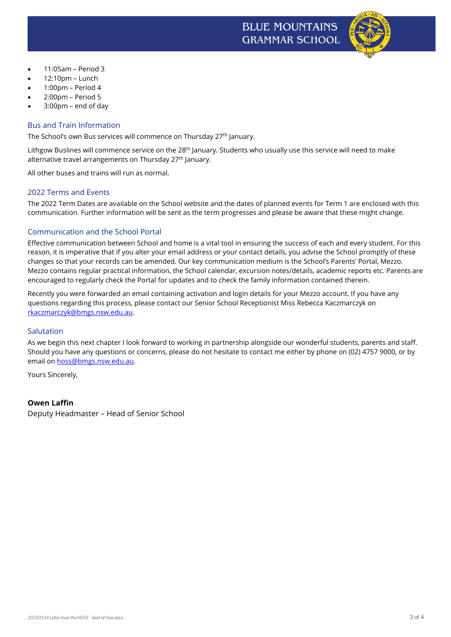



- 11:05am Period 3
- 12:10pm Lunch
- 1:00pm Period 4
- 2:00pm Period 5
- $3:00$ pm end of dav

### Bus and Train Information

The School's own Bus services will commence on Thursday 27<sup>th</sup> January.

Lithgow Buslines will commence service on the 28<sup>th</sup> January. Students who usually use this service will need to make alternative travel arrangements on Thursday 27<sup>th</sup> January.

All other buses and trains will run as normal.

#### 2022 Terms and Events

The 2022 Term Dates are available on the School website and the dates of planned events for Term 1 are enclosed with this communication. Further information will be sent as the term progresses and please be aware that these might change.

# Communication and the School Portal

Effective communication between School and home is a vital tool in ensuring the success of each and every student. For this reason, it is imperative that if you alter your email address or your contact details, you advise the School promptly of these changes so that your records can be amended. Our key communication medium is the School's Parents' Portal, Mezzo. Mezzo contains regular practical information, the School calendar, excursion notes/details, academic reports etc. Parents are encouraged to regularly check the Portal for updates and to check the family information contained therein.

Recently you were forwarded an email containing activation and login details for your Mezzo account. If you have any questions regarding this process, please contact our Senior School Receptionist Miss Rebecca Kaczmarczyk on [rkaczmarczyk@bmgs.nsw.edu.au.](mailto:rkaczmarczyk@bmgs.nsw.edu.au)

#### Salutation

As we begin this next chapter I look forward to working in partnership alongside our wonderful students, parents and staff. Should you have any questions or concerns, please do not hesitate to contact me either by phone on (02) 4757 9000, or by email on [hoss@bmgs.nsw.edu.au.](mailto:hoss@bmgs.nsw.edu.au)

Yours Sincerely,

#### **Owen Laffin**

Deputy Headmaster – Head of Senior School